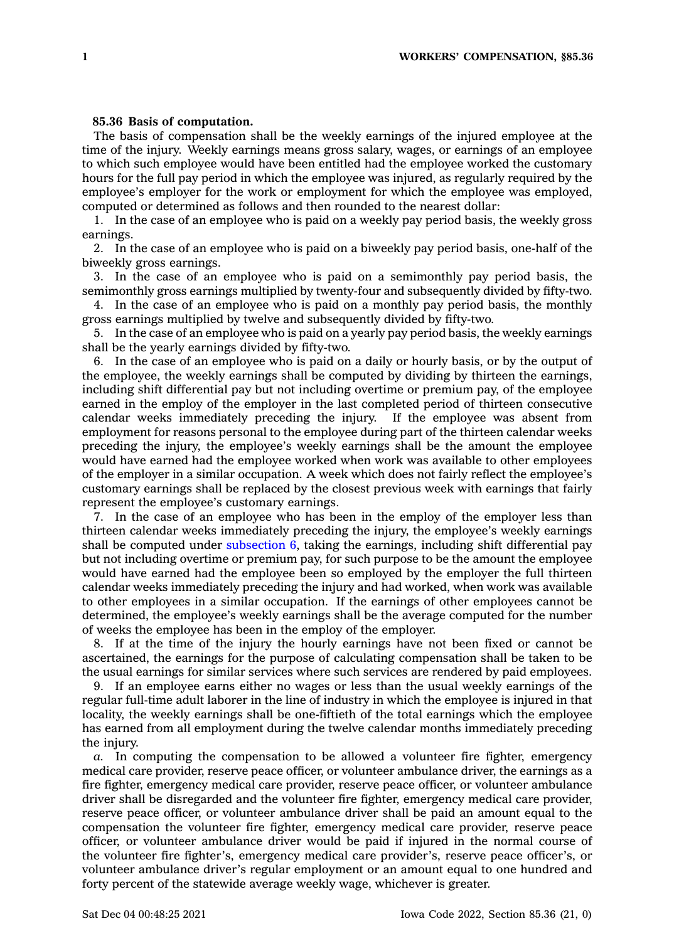## **85.36 Basis of computation.**

The basis of compensation shall be the weekly earnings of the injured employee at the time of the injury. Weekly earnings means gross salary, wages, or earnings of an employee to which such employee would have been entitled had the employee worked the customary hours for the full pay period in which the employee was injured, as regularly required by the employee's employer for the work or employment for which the employee was employed, computed or determined as follows and then rounded to the nearest dollar:

1. In the case of an employee who is paid on <sup>a</sup> weekly pay period basis, the weekly gross earnings.

2. In the case of an employee who is paid on <sup>a</sup> biweekly pay period basis, one-half of the biweekly gross earnings.

3. In the case of an employee who is paid on <sup>a</sup> semimonthly pay period basis, the semimonthly gross earnings multiplied by twenty-four and subsequently divided by fifty-two.

4. In the case of an employee who is paid on <sup>a</sup> monthly pay period basis, the monthly gross earnings multiplied by twelve and subsequently divided by fifty-two.

5. In the case of an employee who is paid on <sup>a</sup> yearly pay period basis, the weekly earnings shall be the yearly earnings divided by fifty-two.

6. In the case of an employee who is paid on <sup>a</sup> daily or hourly basis, or by the output of the employee, the weekly earnings shall be computed by dividing by thirteen the earnings, including shift differential pay but not including overtime or premium pay, of the employee earned in the employ of the employer in the last completed period of thirteen consecutive calendar weeks immediately preceding the injury. If the employee was absent from employment for reasons personal to the employee during part of the thirteen calendar weeks preceding the injury, the employee's weekly earnings shall be the amount the employee would have earned had the employee worked when work was available to other employees of the employer in <sup>a</sup> similar occupation. A week which does not fairly reflect the employee's customary earnings shall be replaced by the closest previous week with earnings that fairly represent the employee's customary earnings.

7. In the case of an employee who has been in the employ of the employer less than thirteen calendar weeks immediately preceding the injury, the employee's weekly earnings shall be computed under [subsection](https://www.legis.iowa.gov/docs/code/85.36.pdf) 6, taking the earnings, including shift differential pay but not including overtime or premium pay, for such purpose to be the amount the employee would have earned had the employee been so employed by the employer the full thirteen calendar weeks immediately preceding the injury and had worked, when work was available to other employees in <sup>a</sup> similar occupation. If the earnings of other employees cannot be determined, the employee's weekly earnings shall be the average computed for the number of weeks the employee has been in the employ of the employer.

8. If at the time of the injury the hourly earnings have not been fixed or cannot be ascertained, the earnings for the purpose of calculating compensation shall be taken to be the usual earnings for similar services where such services are rendered by paid employees.

9. If an employee earns either no wages or less than the usual weekly earnings of the regular full-time adult laborer in the line of industry in which the employee is injured in that locality, the weekly earnings shall be one-fiftieth of the total earnings which the employee has earned from all employment during the twelve calendar months immediately preceding the injury.

*a.* In computing the compensation to be allowed <sup>a</sup> volunteer fire fighter, emergency medical care provider, reserve peace officer, or volunteer ambulance driver, the earnings as <sup>a</sup> fire fighter, emergency medical care provider, reserve peace officer, or volunteer ambulance driver shall be disregarded and the volunteer fire fighter, emergency medical care provider, reserve peace officer, or volunteer ambulance driver shall be paid an amount equal to the compensation the volunteer fire fighter, emergency medical care provider, reserve peace officer, or volunteer ambulance driver would be paid if injured in the normal course of the volunteer fire fighter's, emergency medical care provider's, reserve peace officer's, or volunteer ambulance driver's regular employment or an amount equal to one hundred and forty percent of the statewide average weekly wage, whichever is greater.